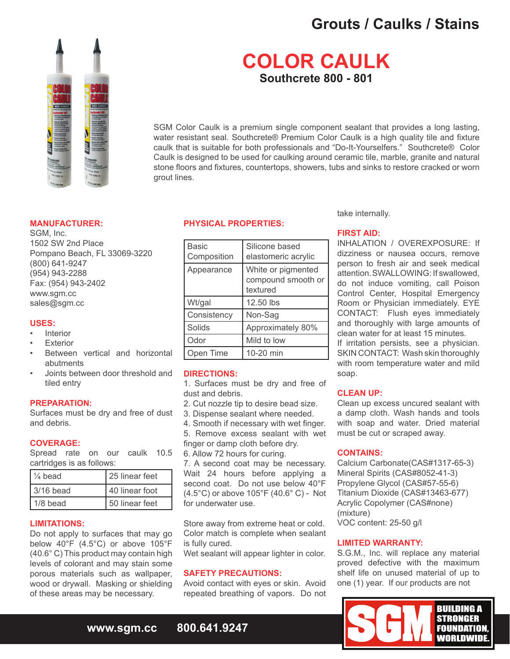# **Grouts / Caulks / Stains**



SGM Color Caulk is a premium single component sealant that provides a long lasting, water resistant seal. Southcrete® Premium Color Caulk is a high quality tile and fixture caulk that is suitable for both professionals and "Do-It-Yourselfers." Southcrete® Color Caulk is designed to be used for caulking around ceramic tile, marble, granite and natural stone floors and fixtures, countertops, showers, tubs and sinks to restore cracked or worn grout lines.

# **MANUFACTURER:**

SGM, Inc. 1502 SW 2nd Place Pompano Beach, FL 33069-3220 (800) 641-9247 (954) 943-2288 Fax: (954) 943-2402 www.sgm.cc sales@sgm.cc

#### **USES:**

- **Interior**
- **Exterior**
- Between vertical and horizontal abutments
- Joints between door threshold and tiled entry

### **PREPARATION:**

Surfaces must be dry and free of dust and debris.

## **COVERAGE:**

Spread rate on our caulk 10.5 cartridges is as follows:

| $\frac{1}{4}$ bead | 25 linear feet |
|--------------------|----------------|
| 3/16 bead          | 40 linear foot |
| 1/8 bead           | 50 linear feet |

## **LIMITATIONS:**

Do not apply to surfaces that may go below 40°F (4.5°C) or above 105°F (40.6° C) This product may contain high levels of colorant and may stain some porous materials such as wallpaper, wood or drywall. Masking or shielding of these areas may be necessary.

#### **PHYSICAL PROPERTIES:**

| <b>Basic</b><br>Composition | Silicone based<br>elastomeric acrylic                |
|-----------------------------|------------------------------------------------------|
| Appearance                  | White or pigmented<br>compound smooth or<br>textured |
| Wt/gal                      | 12.50 lbs                                            |
| Consistency                 | Non-Sag                                              |
| Solids                      | Approximately 80%                                    |
| Odor                        | Mild to low                                          |
| Open Time                   | 10-20 min                                            |

### **DIRECTIONS:**

1. Surfaces must be dry and free of dust and debris.

- 2. Cut nozzle tip to desire bead size.
- 3. Dispense sealant where needed.

4. Smooth if necessary with wet finger. 5. Remove excess sealant with wet finger or damp cloth before dry.

6. Allow 72 hours for curing.

7. A second coat may be necessary. Wait 24 hours before applying a second coat. Do not use below 40°F (4.5°C) or above 105°F (40.6° C) - Not for underwater use.

Store away from extreme heat or cold. Color match is complete when sealant is fully cured.

Wet sealant will appear lighter in color.

#### **SAFETY PRECAUTIONS:**

Avoid contact with eyes or skin. Avoid repeated breathing of vapors. Do not take internally.

## **FIRST AID:**

INHALATION / OVEREXPOSURE: If dizziness or nausea occurs, remove person to fresh air and seek medical attention. SWALLOWING: If swallowed, do not induce vomiting, call Poison Control Center, Hospital Emergency Room or Physician immediately. EYE CONTACT: Flush eyes immediately and thoroughly with large amounts of clean water for at least 15 minutes. If irritation persists, see a physician.

SKIN CONTACT: Wash skin thoroughly with room temperature water and mild soap.

# **CLEAN UP:**

Clean up excess uncured sealant with a damp cloth. Wash hands and tools with soap and water. Dried material must be cut or scraped away.

## **CONTAINS:**

Calcium Carbonate(CAS#1317-65-3) Mineral Spirits (CAS#8052-41-3) Propylene Glycol (CAS#57-55-6) Titanium Dioxide (CAS#13463-677) Acrylic Copolymer (CAS#none) (mixture) VOC content: 25-50 g/l

#### **LIMITED WARRANTY:**

S.G.M., Inc. will replace any material proved defective with the maximum shelf life on unused material of up to one (1) year. If our products are not